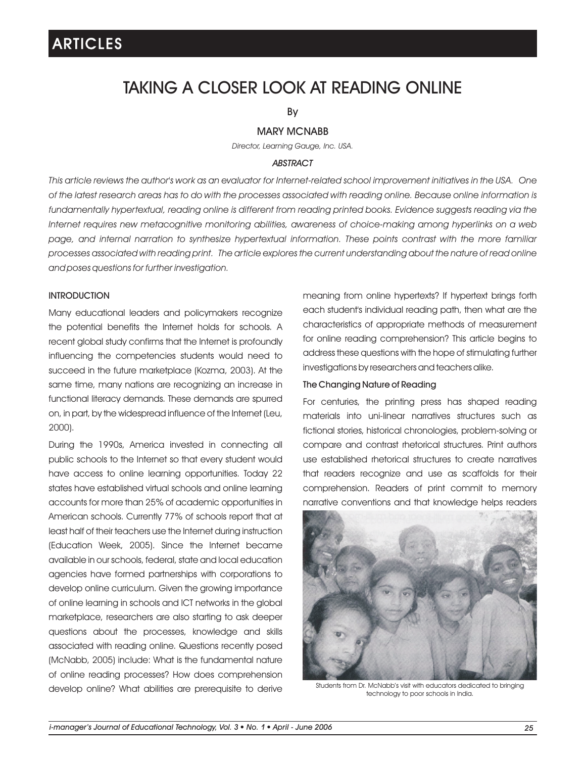## TAKING A CLOSER LOOK AT READING ONLINE

By

## MARY MCNABB

*Director, Learning Gauge, Inc. USA.*

### *ABSTRACT*

*This article reviews the author's work as an evaluator for Internet-related school improvement initiatives in the USA. One of the latest research areas has to do with the processes associated with reading online. Because online information is*  fundamentally hypertextual, reading online is different from reading printed books. Evidence suggests reading via the *Internet requires new metacognitive monitoring abilities, awareness of choice-making among hyperlinks on a web page, and internal narration to synthesize hypertextual information. These points contrast with the more familiar processes associated with reading print. The article explores the current understanding about the nature of read online and poses questions for further investigation.*

## **INTRODUCTION**

Many educational leaders and policymakers recognize the potential benefits the Internet holds for schools. A recent global study confirms that the Internet is profoundly influencing the competencies students would need to succeed in the future marketplace (Kozma, 2003). At the same time, many nations are recognizing an increase in functional literacy demands. These demands are spurred on, in part, by the widespread influence of the Internet (Leu, 2000).

During the 1990s, America invested in connecting all public schools to the Internet so that every student would have access to online learning opportunities. Today 22 states have established virtual schools and online learning accounts for more than 25% of academic opportunities in American schools. Currently 77% of schools report that at least half of their teachers use the Internet during instruction (Education Week, 2005). Since the Internet became available in our schools, federal, state and local education agencies have formed partnerships with corporations to develop online curriculum. Given the growing importance of online learning in schools and ICT networks in the global marketplace, researchers are also starting to ask deeper questions about the processes, knowledge and skills associated with reading online. Questions recently posed (McNabb, 2005) include: What is the fundamental nature of online reading processes? How does comprehension develop online? What abilities are prerequisite to derive

meaning from online hypertexts? If hypertext brings forth each student's individual reading path, then what are the characteristics of appropriate methods of measurement for online reading comprehension? This article begins to address these questions with the hope of stimulating further investigations by researchers and teachers alike.

## The Changing Nature of Reading

For centuries, the printing press has shaped reading materials into uni-linear narratives structures such as fictional stories, historical chronologies, problem-solving or compare and contrast rhetorical structures. Print authors use established rhetorical structures to create narratives that readers recognize and use as scaffolds for their comprehension. Readers of print commit to memory narrative conventions and that knowledge helps readers



Students from Dr. McNabb's visit with educators dedicated to bringing technology to poor schools in India.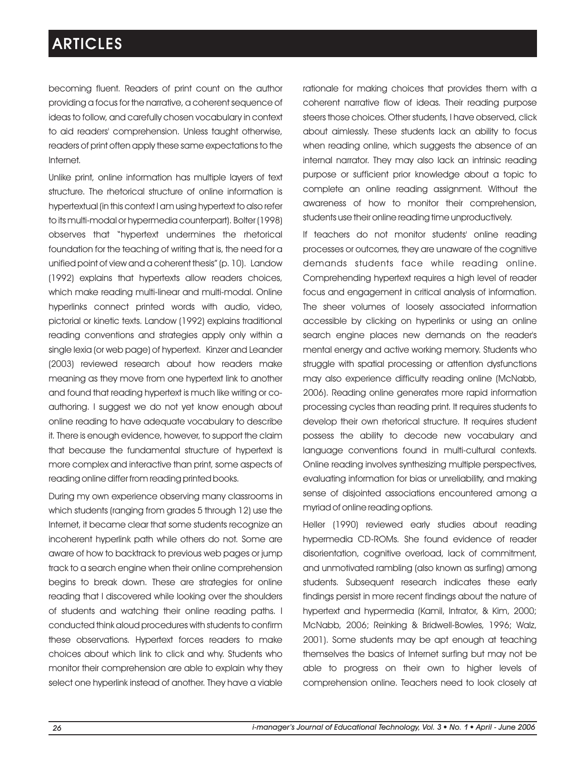becoming fluent. Readers of print count on the author providing a focus for the narrative, a coherent sequence of ideas to follow, and carefully chosen vocabulary in context to aid readers' comprehension. Unless taught otherwise, readers of print often apply these same expectations to the Internet.

Unlike print, online information has multiple layers of text structure. The rhetorical structure of online information is hypertextual (in this context I am using hypertext to also refer to its multi-modal or hypermedia counterpart). Bolter (1998) observes that "hypertext undermines the rhetorical foundation for the teaching of writing that is, the need for a unified point of view and a coherent thesis" (p. 10). Landow (1992) explains that hypertexts allow readers choices, which make reading multi-linear and multi-modal. Online hyperlinks connect printed words with audio, video, pictorial or kinetic texts. Landow (1992) explains traditional reading conventions and strategies apply only within a single lexia (or web page) of hypertext. Kinzer and Leander (2003) reviewed research about how readers make meaning as they move from one hypertext link to another and found that reading hypertext is much like writing or coauthoring. I suggest we do not yet know enough about online reading to have adequate vocabulary to describe it. There is enough evidence, however, to support the claim that because the fundamental structure of hypertext is more complex and interactive than print, some aspects of reading online differ from reading printed books.

During my own experience observing many classrooms in which students (ranging from grades 5 through 12) use the Internet, it became clear that some students recognize an incoherent hyperlink path while others do not. Some are aware of how to backtrack to previous web pages or jump track to a search engine when their online comprehension begins to break down. These are strategies for online reading that I discovered while looking over the shoulders of students and watching their online reading paths. I conducted think aloud procedures with students to confirm these observations. Hypertext forces readers to make choices about which link to click and why. Students who monitor their comprehension are able to explain why they select one hyperlink instead of another. They have a viable

rationale for making choices that provides them with a coherent narrative flow of ideas. Their reading purpose steers those choices. Other students, I have observed, click about aimlessly. These students lack an ability to focus when reading online, which suggests the absence of an internal narrator. They may also lack an intrinsic reading purpose or sufficient prior knowledge about a topic to complete an online reading assignment. Without the awareness of how to monitor their comprehension, students use their online reading time unproductively.

If teachers do not monitor students' online reading processes or outcomes, they are unaware of the cognitive demands students face while reading online. Comprehending hypertext requires a high level of reader focus and engagement in critical analysis of information. The sheer volumes of loosely associated information accessible by clicking on hyperlinks or using an online search engine places new demands on the reader's mental energy and active working memory. Students who struggle with spatial processing or attention dysfunctions may also experience difficulty reading online (McNabb, 2006). Reading online generates more rapid information processing cycles than reading print. It requires students to develop their own rhetorical structure. It requires student possess the ability to decode new vocabulary and language conventions found in multi-cultural contexts. Online reading involves synthesizing multiple perspectives, evaluating information for bias or unreliability, and making sense of disjointed associations encountered among a myriad of online reading options.

Heller (1990) reviewed early studies about reading hypermedia CD-ROMs. She found evidence of reader disorientation, cognitive overload, lack of commitment, and unmotivated rambling (also known as surfing) among students. Subsequent research indicates these early findings persist in more recent findings about the nature of hypertext and hypermedia (Kamil, Intrator, & Kim, 2000; McNabb, 2006; Reinking & Bridwell-Bowles, 1996; Walz, 2001). Some students may be apt enough at teaching themselves the basics of Internet surfing but may not be able to progress on their own to higher levels of comprehension online. Teachers need to look closely at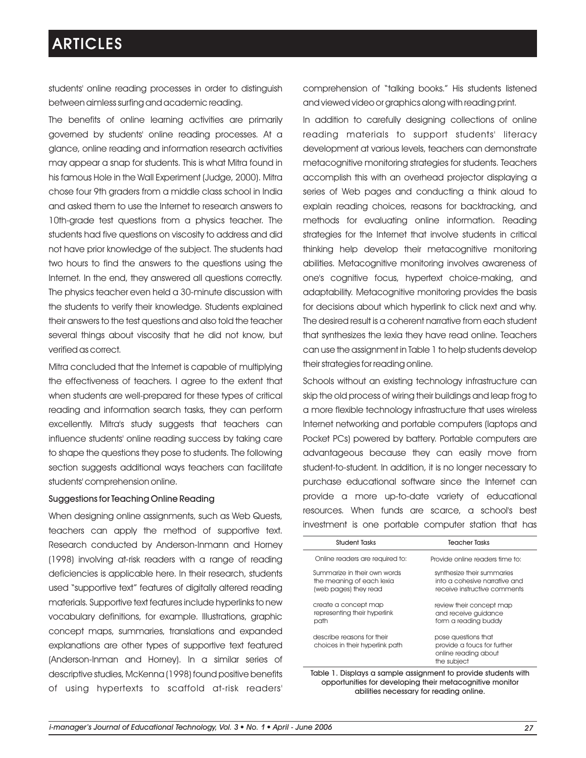students' online reading processes in order to distinguish between aimless surfing and academic reading.

The benefits of online learning activities are primarily governed by students' online reading processes. At a glance, online reading and information research activities may appear a snap for students. This is what Mitra found in his famous Hole in the Wall Experiment (Judge, 2000). Mitra chose four 9th graders from a middle class school in India and asked them to use the Internet to research answers to 10th-grade test questions from a physics teacher. The students had five questions on viscosity to address and did not have prior knowledge of the subject. The students had two hours to find the answers to the questions using the Internet. In the end, they answered all questions correctly. The physics teacher even held a 30-minute discussion with the students to verify their knowledge. Students explained their answers to the test questions and also told the teacher several things about viscosity that he did not know, but verified as correct.

Mitra concluded that the Internet is capable of multiplying the effectiveness of teachers. I agree to the extent that when students are well-prepared for these types of critical reading and information search tasks, they can perform excellently. Mitra's study suggests that teachers can influence students' online reading success by taking care to shape the questions they pose to students. The following section suggests additional ways teachers can facilitate students' comprehension online.

#### Suggestions for Teaching Online Reading

When designing online assignments, such as Web Quests, teachers can apply the method of supportive text. Research conducted by Anderson-Inmann and Horney (1998) involving at-risk readers with a range of reading deficiencies is applicable here. In their research, students used "supportive text" features of digitally altered reading materials. Supportive text features include hyperlinks to new vocabulary definitions, for example. Illustrations, graphic concept maps, summaries, translations and expanded explanations are other types of supportive text featured (Anderson-Inman and Horney). In a similar series of descriptive studies, McKenna (1998) found positive benefits of using hypertexts to scaffold at-risk readers'

comprehension of "talking books." His students listened and viewed video or graphics along with reading print.

In addition to carefully designing collections of online reading materials to support students' literacy development at various levels, teachers can demonstrate metacognitive monitoring strategies for students. Teachers accomplish this with an overhead projector displaying a series of Web pages and conducting a think aloud to explain reading choices, reasons for backtracking, and methods for evaluating online information. Reading strategies for the Internet that involve students in critical thinking help develop their metacognitive monitoring abilities. Metacognitive monitoring involves awareness of one's cognitive focus, hypertext choice-making, and adaptability. Metacognitive monitoring provides the basis for decisions about which hyperlink to click next and why. The desired result is a coherent narrative from each student that synthesizes the lexia they have read online. Teachers can use the assignment in Table 1 to help students develop their strategies for reading online.

Schools without an existing technology infrastructure can skip the old process of wiring their buildings and leap frog to a more flexible technology infrastructure that uses wireless Internet networking and portable computers (laptops and Pocket PCs) powered by battery. Portable computers are advantageous because they can easily move from student-to-student. In addition, it is no longer necessary to purchase educational software since the Internet can provide a more up-to-date variety of educational resources. When funds are scarce, a school's best investment is one portable computer station that has

| <b>Student Tasks</b>                                                               | <b>Teacher Tasks</b>                                                                        |
|------------------------------------------------------------------------------------|---------------------------------------------------------------------------------------------|
| Online readers are required to:                                                    | Provide online readers time to:                                                             |
| Summarize in their own words<br>the meaning of each lexia<br>(web pages) they read | synthesize their summaries<br>into a cohesive narrative and<br>receive instructive comments |
| create a concept map<br>representing their hyperlink<br>path                       | review their concept map<br>and receive guidance<br>form a reading buddy                    |
| describe reasons for their<br>choices in their hyperlink path                      | pose questions that<br>provide a foucs for further<br>online reading about<br>the subject   |
| Displays a sample assignment to provide students with<br>Tahla 1                   |                                                                                             |

Table 1. Displays a sample assignment to provide students with opportunities for developing their metacognitive monitor abilities necessary for reading online.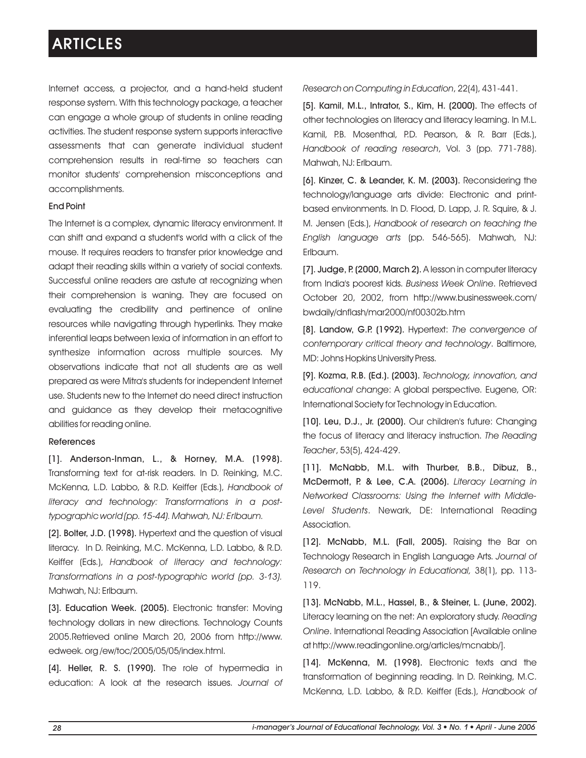Internet access, a projector, and a hand-held student response system. With this technology package, a teacher can engage a whole group of students in online reading activities. The student response system supports interactive assessments that can generate individual student comprehension results in real-time so teachers can monitor students' comprehension misconceptions and accomplishments.

### End Point

The Internet is a complex, dynamic literacy environment. It can shift and expand a student's world with a click of the mouse. It requires readers to transfer prior knowledge and adapt their reading skills within a variety of social contexts. Successful online readers are astute at recognizing when their comprehension is waning. They are focused on evaluating the credibility and pertinence of online resources while navigating through hyperlinks. They make inferential leaps between lexia of information in an effort to synthesize information across multiple sources. My observations indicate that not all students are as well prepared as were Mitra's students for independent Internet use. Students new to the Internet do need direct instruction and guidance as they develop their metacognitive abilities for reading online.

## References

[1]. Anderson-Inman, L., & Horney, M.A. (1998). Transforming text for at-risk readers. In D. Reinking, M.C. McKenna, L.D. Labbo, & R.D. Keiffer (Eds.), *Handbook of literacy and technology: Transformations in a posttypographic world (pp. 15-44). Mahwah, NJ: Erlbaum.*

[2]. Bolter, J.D. (1998). Hypertext and the question of visual literacy. In D. Reinking, M.C. McKenna, L.D. Labbo, & R.D. Keiffer (Eds.), *Handbook of literacy and technology: Transformations in a post-typographic world (pp. 3-13).* Mahwah, NJ: Erlbaum.

[3]. Education Week. (2005). Electronic transfer: Moving technology dollars in new directions. Technology Counts 2005.Retrieved online March 20, 2006 from http://www. edweek. org /ew/toc/2005/05/05/index.html.

[4]. Heller, R. S. (1990). The role of hypermedia in education: A look at the research issues. *Journal of* 

## *Research on Computing in Education*, 22(4), 431-441.

[5]. Kamil, M.L., Intrator, S., Kim, H. (2000). The effects of other technologies on literacy and literacy learning. In M.L. Kamil, P.B. Mosenthal, P.D. Pearson, & R. Barr (Eds.), *Handbook of reading research*, Vol. 3 (pp. 771-788). Mahwah, NJ: Erlbaum.

[6]. Kinzer, C. & Leander, K. M. (2003). Reconsidering the technology/language arts divide: Electronic and printbased environments. In D. Flood, D. Lapp, J. R. Squire, & J. M. Jensen (Eds.), *Handbook of research on teaching the English language arts* (pp. 546-565). Mahwah, NJ: Erlbaum.

[7]. Judge, P. (2000, March 2). A lesson in computer literacy from India's poorest kids. *Business Week Online*. Retrieved October 20, 2002, from http://www.businessweek.com/ bwdaily/dnflash/mar2000/nf00302b.htm

[8]. Landow, G.P. (1992). Hypertext: *The convergence of contemporary critical theory and technology*. Baltimore, MD: Johns Hopkins University Press.

[9]. Kozma, R.B. (Ed.). (2003). *Technology, innovation, and educational change*: A global perspective. Eugene, OR: International Society for Technology in Education.

[10]. Leu, D.J., Jr. (2000). Our children's future: Changing the focus of literacy and literacy instruction. *The Reading Teacher*, 53(5), 424-429.

[11]. McNabb, M.L. with Thurber, B.B., Dibuz, B., McDermott, P. & Lee, C.A. (2006). *Literacy Learning in Networked Classrooms: Using the Internet with Middle-Level Students*. Newark, DE: International Reading Association.

[12]. McNabb, M.L. (Fall, 2005). Raising the Bar on Technology Research in English Language Arts. *Journal of Research on Technology in Educational,* 38(1), pp. 113- 119.

[13]. McNabb, M.L., Hassel, B., & Steiner, L. (June, 2002). Literacy learning on the net: An exploratory study. *Reading Online*. International Reading Association [Available online at http://www.readingonline.org/articles/mcnabb/].

[14]. McKenna, M. (1998). Electronic texts and the transformation of beginning reading. In D. Reinking, M.C. McKenna, L.D. Labbo, & R.D. Keiffer (Eds.), *Handbook of*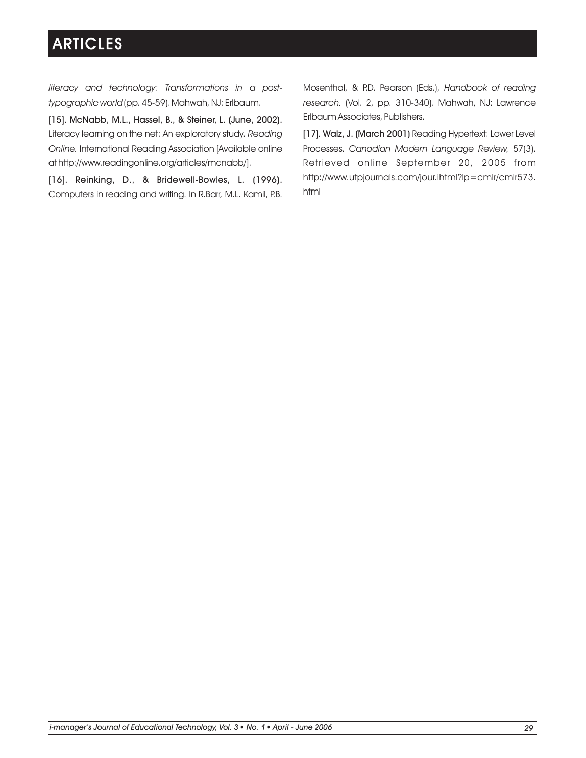*literacy and technology: Transformations in a posttypographic world* (pp. 45-59). Mahwah, NJ: Erlbaum.

[15]. McNabb, M.L., Hassel, B., & Steiner, L. (June, 2002). Literacy learning on the net: An exploratory study. *Reading Online.* International Reading Association [Available online at http://www.readingonline.org/articles/mcnabb/].

[16]. Reinking, D., & Bridewell-Bowles, L. (1996). Computers in reading and writing. In R.Barr, M.L. Kamil, P.B. Mosenthal, & P.D. Pearson (Eds.), *Handbook of reading research.* (Vol. 2, pp. 310-340). Mahwah, NJ: Lawrence Erlbaum Associates, Publishers.

[17]. Walz, J. (March 2001) Reading Hypertext: Lower Level Processes. *Canadian Modern Language Review,* 57(3). Retrieved online September 20, 2005 from http://www.utpjournals.com/jour.ihtml?lp=cmlr/cmlr573. html